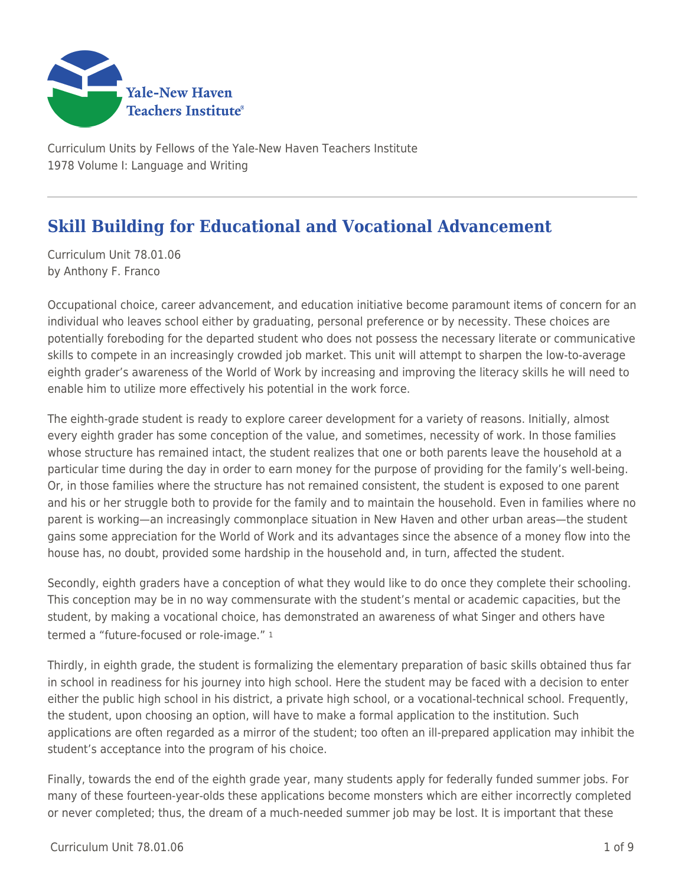

Curriculum Units by Fellows of the Yale-New Haven Teachers Institute 1978 Volume I: Language and Writing

# **Skill Building for Educational and Vocational Advancement**

Curriculum Unit 78.01.06 by Anthony F. Franco

Occupational choice, career advancement, and education initiative become paramount items of concern for an individual who leaves school either by graduating, personal preference or by necessity. These choices are potentially foreboding for the departed student who does not possess the necessary literate or communicative skills to compete in an increasingly crowded job market. This unit will attempt to sharpen the low-to-average eighth grader's awareness of the World of Work by increasing and improving the literacy skills he will need to enable him to utilize more effectively his potential in the work force.

The eighth-grade student is ready to explore career development for a variety of reasons. Initially, almost every eighth grader has some conception of the value, and sometimes, necessity of work. In those families whose structure has remained intact, the student realizes that one or both parents leave the household at a particular time during the day in order to earn money for the purpose of providing for the family's well-being. Or, in those families where the structure has not remained consistent, the student is exposed to one parent and his or her struggle both to provide for the family and to maintain the household. Even in families where no parent is working—an increasingly commonplace situation in New Haven and other urban areas—the student gains some appreciation for the World of Work and its advantages since the absence of a money flow into the house has, no doubt, provided some hardship in the household and, in turn, affected the student.

Secondly, eighth graders have a conception of what they would like to do once they complete their schooling. This conception may be in no way commensurate with the student's mental or academic capacities, but the student, by making a vocational choice, has demonstrated an awareness of what Singer and others have termed a "future-focused or role-image." <sup>1</sup>

Thirdly, in eighth grade, the student is formalizing the elementary preparation of basic skills obtained thus far in school in readiness for his journey into high school. Here the student may be faced with a decision to enter either the public high school in his district, a private high school, or a vocational-technical school. Frequently, the student, upon choosing an option, will have to make a formal application to the institution. Such applications are often regarded as a mirror of the student; too often an ill-prepared application may inhibit the student's acceptance into the program of his choice.

Finally, towards the end of the eighth grade year, many students apply for federally funded summer jobs. For many of these fourteen-year-olds these applications become monsters which are either incorrectly completed or never completed; thus, the dream of a much-needed summer job may be lost. It is important that these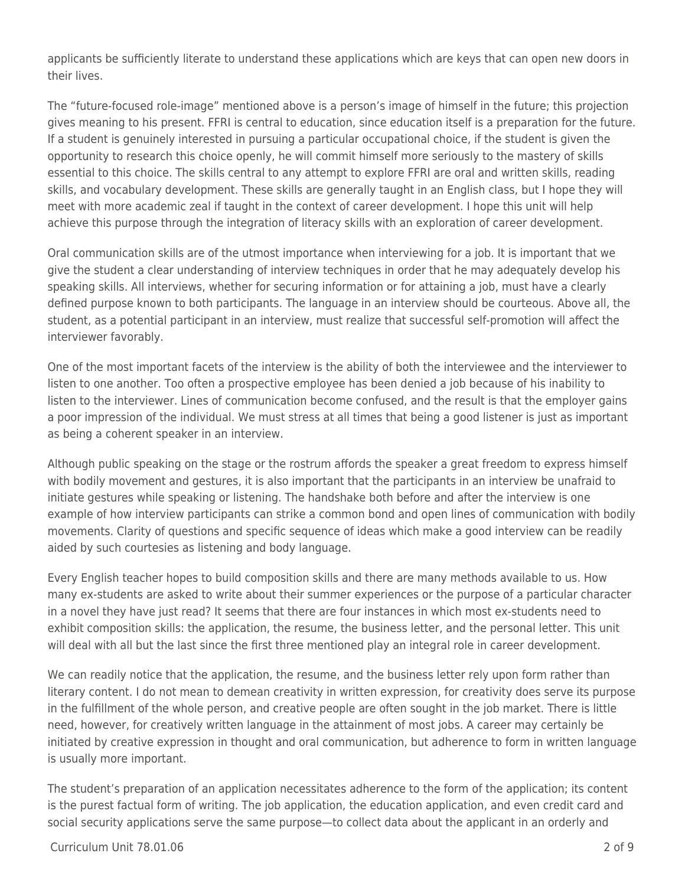applicants be sufficiently literate to understand these applications which are keys that can open new doors in their lives.

The "future-focused role-image" mentioned above is a person's image of himself in the future; this projection gives meaning to his present. FFRI is central to education, since education itself is a preparation for the future. If a student is genuinely interested in pursuing a particular occupational choice, if the student is given the opportunity to research this choice openly, he will commit himself more seriously to the mastery of skills essential to this choice. The skills central to any attempt to explore FFRI are oral and written skills, reading skills, and vocabulary development. These skills are generally taught in an English class, but I hope they will meet with more academic zeal if taught in the context of career development. I hope this unit will help achieve this purpose through the integration of literacy skills with an exploration of career development.

Oral communication skills are of the utmost importance when interviewing for a job. It is important that we give the student a clear understanding of interview techniques in order that he may adequately develop his speaking skills. All interviews, whether for securing information or for attaining a job, must have a clearly defined purpose known to both participants. The language in an interview should be courteous. Above all, the student, as a potential participant in an interview, must realize that successful self-promotion will affect the interviewer favorably.

One of the most important facets of the interview is the ability of both the interviewee and the interviewer to listen to one another. Too often a prospective employee has been denied a job because of his inability to listen to the interviewer. Lines of communication become confused, and the result is that the employer gains a poor impression of the individual. We must stress at all times that being a good listener is just as important as being a coherent speaker in an interview.

Although public speaking on the stage or the rostrum affords the speaker a great freedom to express himself with bodily movement and gestures, it is also important that the participants in an interview be unafraid to initiate gestures while speaking or listening. The handshake both before and after the interview is one example of how interview participants can strike a common bond and open lines of communication with bodily movements. Clarity of questions and specific sequence of ideas which make a good interview can be readily aided by such courtesies as listening and body language.

Every English teacher hopes to build composition skills and there are many methods available to us. How many ex-students are asked to write about their summer experiences or the purpose of a particular character in a novel they have just read? It seems that there are four instances in which most ex-students need to exhibit composition skills: the application, the resume, the business letter, and the personal letter. This unit will deal with all but the last since the first three mentioned play an integral role in career development.

We can readily notice that the application, the resume, and the business letter rely upon form rather than literary content. I do not mean to demean creativity in written expression, for creativity does serve its purpose in the fulfillment of the whole person, and creative people are often sought in the job market. There is little need, however, for creatively written language in the attainment of most jobs. A career may certainly be initiated by creative expression in thought and oral communication, but adherence to form in written language is usually more important.

The student's preparation of an application necessitates adherence to the form of the application; its content is the purest factual form of writing. The job application, the education application, and even credit card and social security applications serve the same purpose—to collect data about the applicant in an orderly and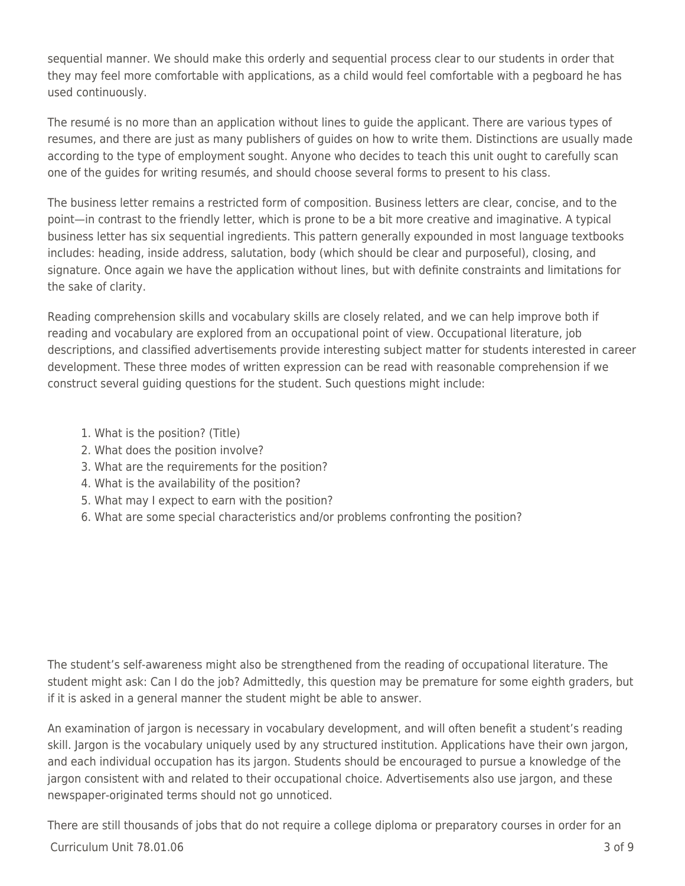sequential manner. We should make this orderly and sequential process clear to our students in order that they may feel more comfortable with applications, as a child would feel comfortable with a pegboard he has used continuously.

The resumé is no more than an application without lines to guide the applicant. There are various types of resumes, and there are just as many publishers of guides on how to write them. Distinctions are usually made according to the type of employment sought. Anyone who decides to teach this unit ought to carefully scan one of the guides for writing resumés, and should choose several forms to present to his class.

The business letter remains a restricted form of composition. Business letters are clear, concise, and to the point—in contrast to the friendly letter, which is prone to be a bit more creative and imaginative. A typical business letter has six sequential ingredients. This pattern generally expounded in most language textbooks includes: heading, inside address, salutation, body (which should be clear and purposeful), closing, and signature. Once again we have the application without lines, but with definite constraints and limitations for the sake of clarity.

Reading comprehension skills and vocabulary skills are closely related, and we can help improve both if reading and vocabulary are explored from an occupational point of view. Occupational literature, job descriptions, and classified advertisements provide interesting subject matter for students interested in career development. These three modes of written expression can be read with reasonable comprehension if we construct several guiding questions for the student. Such questions might include:

- 1. What is the position? (Title)
- 2. What does the position involve?
- 3. What are the requirements for the position?
- 4. What is the availability of the position?
- 5. What may I expect to earn with the position?
- 6. What are some special characteristics and/or problems confronting the position?

The student's self-awareness might also be strengthened from the reading of occupational literature. The student might ask: Can I do the job? Admittedly, this question may be premature for some eighth graders, but if it is asked in a general manner the student might be able to answer.

An examination of jargon is necessary in vocabulary development, and will often benefit a student's reading skill. Jargon is the vocabulary uniquely used by any structured institution. Applications have their own jargon, and each individual occupation has its jargon. Students should be encouraged to pursue a knowledge of the jargon consistent with and related to their occupational choice. Advertisements also use jargon, and these newspaper-originated terms should not go unnoticed.

 $C$ urriculum Unit  $78.01.06$   $3 \text{ of } 9$ There are still thousands of jobs that do not require a college diploma or preparatory courses in order for an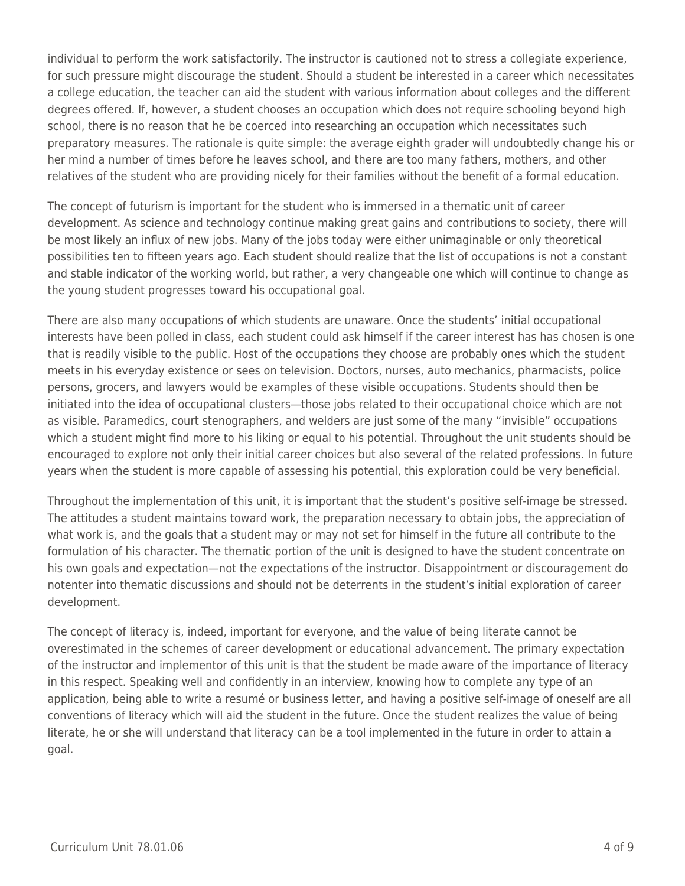individual to perform the work satisfactorily. The instructor is cautioned not to stress a collegiate experience, for such pressure might discourage the student. Should a student be interested in a career which necessitates a college education, the teacher can aid the student with various information about colleges and the different degrees offered. If, however, a student chooses an occupation which does not require schooling beyond high school, there is no reason that he be coerced into researching an occupation which necessitates such preparatory measures. The rationale is quite simple: the average eighth grader will undoubtedly change his or her mind a number of times before he leaves school, and there are too many fathers, mothers, and other relatives of the student who are providing nicely for their families without the benefit of a formal education.

The concept of futurism is important for the student who is immersed in a thematic unit of career development. As science and technology continue making great gains and contributions to society, there will be most likely an influx of new jobs. Many of the jobs today were either unimaginable or only theoretical possibilities ten to fifteen years ago. Each student should realize that the list of occupations is not a constant and stable indicator of the working world, but rather, a very changeable one which will continue to change as the young student progresses toward his occupational goal.

There are also many occupations of which students are unaware. Once the students' initial occupational interests have been polled in class, each student could ask himself if the career interest has has chosen is one that is readily visible to the public. Host of the occupations they choose are probably ones which the student meets in his everyday existence or sees on television. Doctors, nurses, auto mechanics, pharmacists, police persons, grocers, and lawyers would be examples of these visible occupations. Students should then be initiated into the idea of occupational clusters—those jobs related to their occupational choice which are not as visible. Paramedics, court stenographers, and welders are just some of the many "invisible" occupations which a student might find more to his liking or equal to his potential. Throughout the unit students should be encouraged to explore not only their initial career choices but also several of the related professions. In future years when the student is more capable of assessing his potential, this exploration could be very beneficial.

Throughout the implementation of this unit, it is important that the student's positive self-image be stressed. The attitudes a student maintains toward work, the preparation necessary to obtain jobs, the appreciation of what work is, and the goals that a student may or may not set for himself in the future all contribute to the formulation of his character. The thematic portion of the unit is designed to have the student concentrate on his own goals and expectation—not the expectations of the instructor. Disappointment or discouragement do notenter into thematic discussions and should not be deterrents in the student's initial exploration of career development.

The concept of literacy is, indeed, important for everyone, and the value of being literate cannot be overestimated in the schemes of career development or educational advancement. The primary expectation of the instructor and implementor of this unit is that the student be made aware of the importance of literacy in this respect. Speaking well and confidently in an interview, knowing how to complete any type of an application, being able to write a resumé or business letter, and having a positive self-image of oneself are all conventions of literacy which will aid the student in the future. Once the student realizes the value of being literate, he or she will understand that literacy can be a tool implemented in the future in order to attain a goal.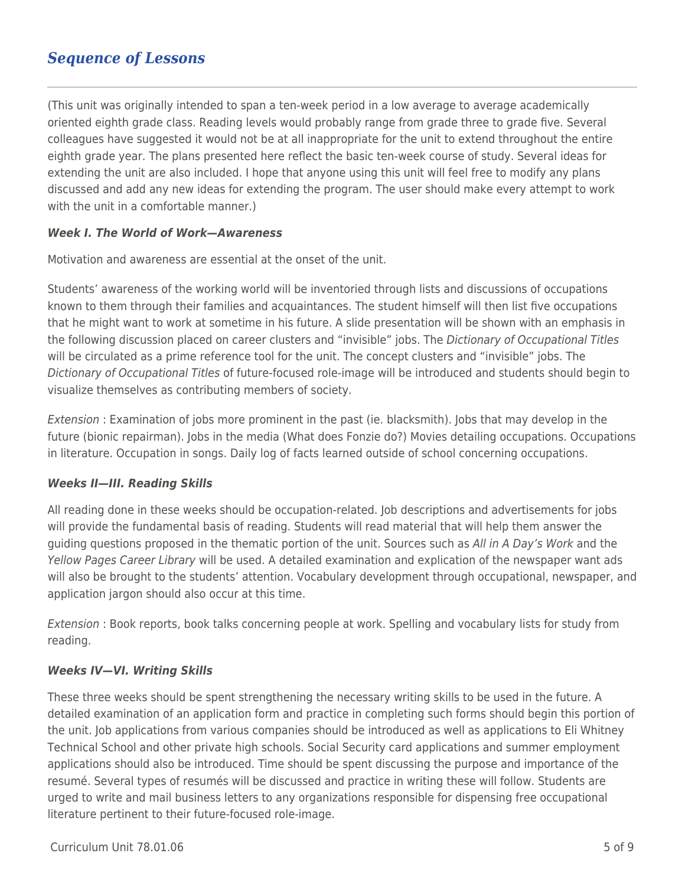### *Sequence of Lessons*

(This unit was originally intended to span a ten-week period in a low average to average academically oriented eighth grade class. Reading levels would probably range from grade three to grade five. Several colleagues have suggested it would not be at all inappropriate for the unit to extend throughout the entire eighth grade year. The plans presented here reflect the basic ten-week course of study. Several ideas for extending the unit are also included. I hope that anyone using this unit will feel free to modify any plans discussed and add any new ideas for extending the program. The user should make every attempt to work with the unit in a comfortable manner.)

#### *Week I. The World of Work—Awareness*

Motivation and awareness are essential at the onset of the unit.

Students' awareness of the working world will be inventoried through lists and discussions of occupations known to them through their families and acquaintances. The student himself will then list five occupations that he might want to work at sometime in his future. A slide presentation will be shown with an emphasis in the following discussion placed on career clusters and "invisible" jobs. The Dictionary of Occupational Titles will be circulated as a prime reference tool for the unit. The concept clusters and "invisible" jobs. The Dictionary of Occupational Titles of future-focused role-image will be introduced and students should begin to visualize themselves as contributing members of society.

Extension : Examination of jobs more prominent in the past (ie. blacksmith). Jobs that may develop in the future (bionic repairman). Jobs in the media (What does Fonzie do?) Movies detailing occupations. Occupations in literature. Occupation in songs. Daily log of facts learned outside of school concerning occupations.

#### *Weeks II—III. Reading Skills*

All reading done in these weeks should be occupation-related. Job descriptions and advertisements for jobs will provide the fundamental basis of reading. Students will read material that will help them answer the guiding questions proposed in the thematic portion of the unit. Sources such as All in A Day's Work and the Yellow Pages Career Library will be used. A detailed examination and explication of the newspaper want ads will also be brought to the students' attention. Vocabulary development through occupational, newspaper, and application jargon should also occur at this time.

Extension : Book reports, book talks concerning people at work. Spelling and vocabulary lists for study from reading.

#### *Weeks IV—VI. Writing Skills*

These three weeks should be spent strengthening the necessary writing skills to be used in the future. A detailed examination of an application form and practice in completing such forms should begin this portion of the unit. Job applications from various companies should be introduced as well as applications to Eli Whitney Technical School and other private high schools. Social Security card applications and summer employment applications should also be introduced. Time should be spent discussing the purpose and importance of the resumé. Several types of resumés will be discussed and practice in writing these will follow. Students are urged to write and mail business letters to any organizations responsible for dispensing free occupational literature pertinent to their future-focused role-image.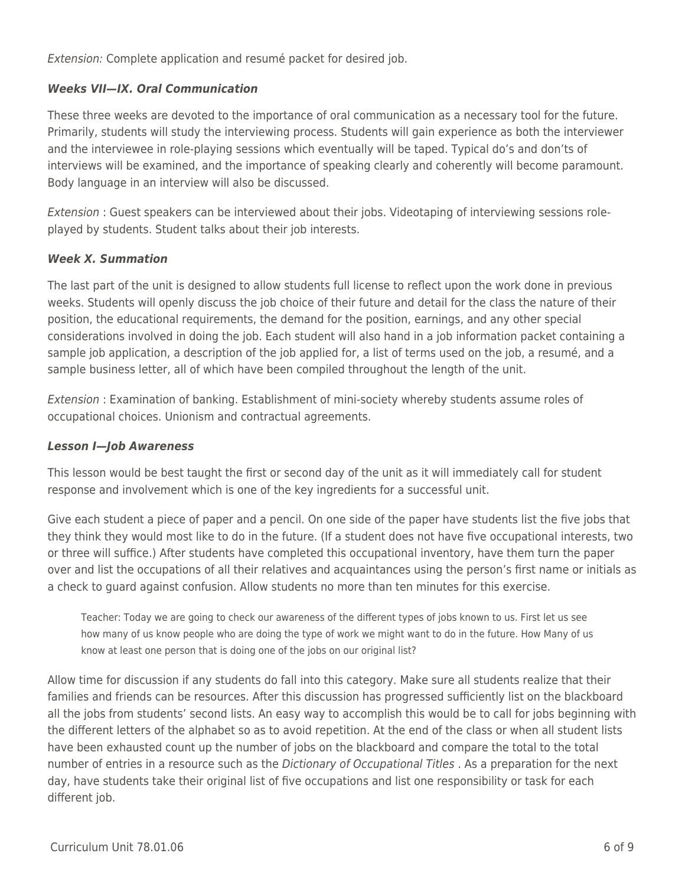Extension: Complete application and resumé packet for desired job.

#### *Weeks VII—IX. Oral Communication*

These three weeks are devoted to the importance of oral communication as a necessary tool for the future. Primarily, students will study the interviewing process. Students will gain experience as both the interviewer and the interviewee in role-playing sessions which eventually will be taped. Typical do's and don'ts of interviews will be examined, and the importance of speaking clearly and coherently will become paramount. Body language in an interview will also be discussed.

Extension : Guest speakers can be interviewed about their jobs. Videotaping of interviewing sessions roleplayed by students. Student talks about their job interests.

#### *Week X. Summation*

The last part of the unit is designed to allow students full license to reflect upon the work done in previous weeks. Students will openly discuss the job choice of their future and detail for the class the nature of their position, the educational requirements, the demand for the position, earnings, and any other special considerations involved in doing the job. Each student will also hand in a job information packet containing a sample job application, a description of the job applied for, a list of terms used on the job, a resumé, and a sample business letter, all of which have been compiled throughout the length of the unit.

Extension : Examination of banking. Establishment of mini-society whereby students assume roles of occupational choices. Unionism and contractual agreements.

#### *Lesson I—Job Awareness*

This lesson would be best taught the first or second day of the unit as it will immediately call for student response and involvement which is one of the key ingredients for a successful unit.

Give each student a piece of paper and a pencil. On one side of the paper have students list the five jobs that they think they would most like to do in the future. (If a student does not have five occupational interests, two or three will suffice.) After students have completed this occupational inventory, have them turn the paper over and list the occupations of all their relatives and acquaintances using the person's first name or initials as a check to guard against confusion. Allow students no more than ten minutes for this exercise.

Teacher: Today we are going to check our awareness of the different types of jobs known to us. First let us see how many of us know people who are doing the type of work we might want to do in the future. How Many of us know at least one person that is doing one of the jobs on our original list?

Allow time for discussion if any students do fall into this category. Make sure all students realize that their families and friends can be resources. After this discussion has progressed sufficiently list on the blackboard all the jobs from students' second lists. An easy way to accomplish this would be to call for jobs beginning with the different letters of the alphabet so as to avoid repetition. At the end of the class or when all student lists have been exhausted count up the number of jobs on the blackboard and compare the total to the total number of entries in a resource such as the *Dictionary of Occupational Titles*. As a preparation for the next day, have students take their original list of five occupations and list one responsibility or task for each different job.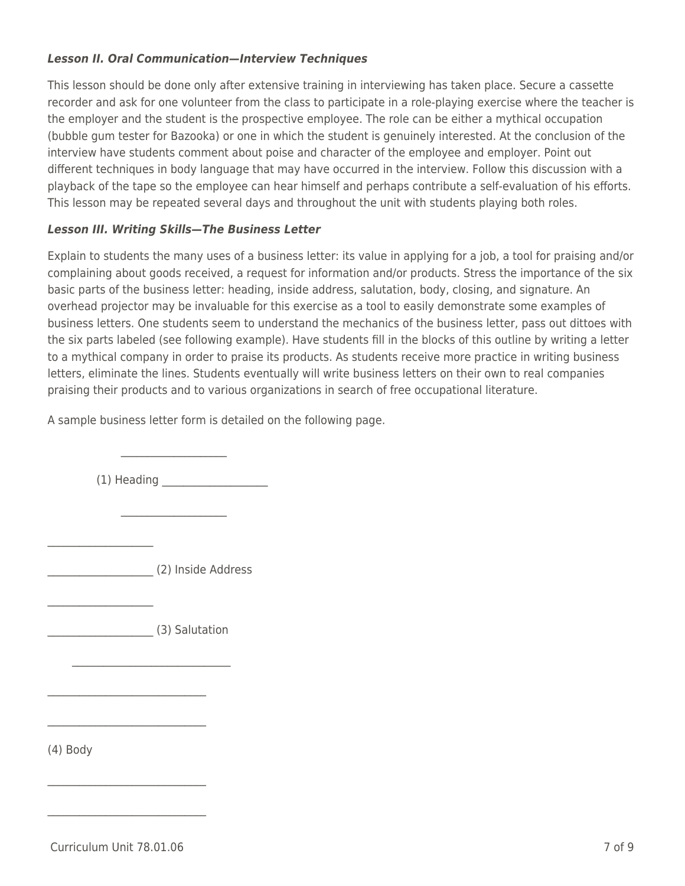#### *Lesson II. Oral Communication—Interview Techniques*

This lesson should be done only after extensive training in interviewing has taken place. Secure a cassette recorder and ask for one volunteer from the class to participate in a role-playing exercise where the teacher is the employer and the student is the prospective employee. The role can be either a mythical occupation (bubble gum tester for Bazooka) or one in which the student is genuinely interested. At the conclusion of the interview have students comment about poise and character of the employee and employer. Point out different techniques in body language that may have occurred in the interview. Follow this discussion with a playback of the tape so the employee can hear himself and perhaps contribute a self-evaluation of his efforts. This lesson may be repeated several days and throughout the unit with students playing both roles.

#### *Lesson III. Writing Skills—The Business Letter*

Explain to students the many uses of a business letter: its value in applying for a job, a tool for praising and/or complaining about goods received, a request for information and/or products. Stress the importance of the six basic parts of the business letter: heading, inside address, salutation, body, closing, and signature. An overhead projector may be invaluable for this exercise as a tool to easily demonstrate some examples of business letters. One students seem to understand the mechanics of the business letter, pass out dittoes with the six parts labeled (see following example). Have students fill in the blocks of this outline by writing a letter to a mythical company in order to praise its products. As students receive more practice in writing business letters, eliminate the lines. Students eventually will write business letters on their own to real companies praising their products and to various organizations in search of free occupational literature.

A sample business letter form is detailed on the following page.

 $(1)$  Heading  $\blacksquare$ 

\_\_\_\_\_\_\_\_\_\_\_\_\_\_\_\_\_\_\_\_ (2) Inside Address

\_\_\_\_\_\_\_\_\_\_\_\_\_\_\_\_\_\_\_\_ (3) Salutation

 $\mathcal{L}=\mathcal{L}=\mathcal{L}=\mathcal{L}=\mathcal{L}=\mathcal{L}=\mathcal{L}=\mathcal{L}=\mathcal{L}=\mathcal{L}=\mathcal{L}=\mathcal{L}=\mathcal{L}=\mathcal{L}=\mathcal{L}=\mathcal{L}=\mathcal{L}=\mathcal{L}=\mathcal{L}=\mathcal{L}=\mathcal{L}=\mathcal{L}=\mathcal{L}=\mathcal{L}=\mathcal{L}=\mathcal{L}=\mathcal{L}=\mathcal{L}=\mathcal{L}=\mathcal{L}=\mathcal{L}=\mathcal{L}=\mathcal{L}=\mathcal{L}=\mathcal{L}=\mathcal{L}=\mathcal{$ 

\_\_\_\_\_\_\_\_\_\_\_\_\_\_\_\_\_\_\_\_\_\_\_\_\_\_\_\_\_\_

\_\_\_\_\_\_\_\_\_\_\_\_\_\_\_\_\_\_\_\_\_\_\_\_\_\_\_\_\_\_

 $\mathcal{L}$  , and the set of the set of the set of the set of the set of the set of the set of the set of the set of the set of the set of the set of the set of the set of the set of the set of the set of the set of the set

 $\mathcal{L}=\mathcal{L}^{\mathcal{L}}$  , where  $\mathcal{L}^{\mathcal{L}}$ 

 $\mathcal{L} = \{ \mathcal{L} \mid \mathcal{L} \in \mathcal{L} \mid \mathcal{L} \in \mathcal{L} \}$  , where  $\mathcal{L} = \{ \mathcal{L} \mid \mathcal{L} \in \mathcal{L} \}$ 

(4) Body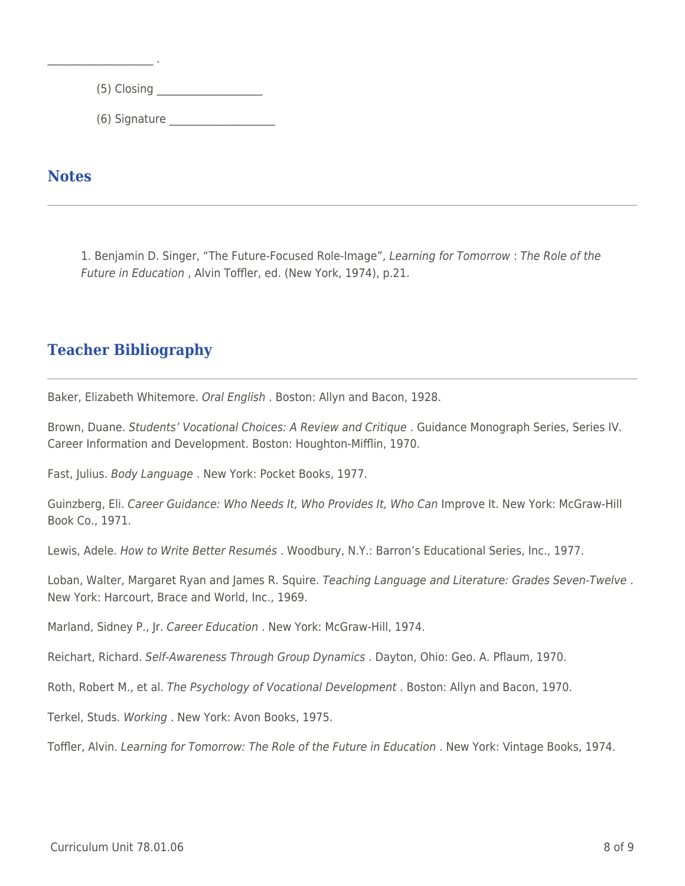$(5)$  Closing  $\Box$ 

\_\_\_\_ \_\_\_\_ (6) Signature \_\_\_\_\_\_\_\_\_\_\_\_\_\_\_\_\_\_\_\_

**Notes**

 $\mathcal{L}_\text{max}$  . The set of the set of the set of the set of the set of the set of the set of the set of the set of the set of the set of the set of the set of the set of the set of the set of the set of the set of the set

1. Benjamin D. Singer, "The Future-Focused Role-Image", Learning for Tomorrow : The Role of the Future in Education , Alvin Toffler, ed. (New York, 1974), p.21.

## **Teacher Bibliography**

Baker, Elizabeth Whitemore. Oral English . Boston: Allyn and Bacon, 1928.

Brown, Duane. Students' Vocational Choices: A Review and Critique. Guidance Monograph Series, Series IV. Career Information and Development. Boston: Houghton-Mifflin, 1970.

Fast, Julius. Body Language . New York: Pocket Books, 1977.

Guinzberg, Eli. Career Guidance: Who Needs It, Who Provides It, Who Can Improve It. New York: McGraw-Hill Book Co., 1971.

Lewis, Adele. How to Write Better Resumés . Woodbury, N.Y.: Barron's Educational Series, Inc., 1977.

Loban, Walter, Margaret Ryan and James R. Squire. Teaching Language and Literature: Grades Seven-Twelve. New York: Harcourt, Brace and World, Inc., 1969.

Marland, Sidney P., Jr. Career Education . New York: McGraw-Hill, 1974.

Reichart, Richard. Self-Awareness Through Group Dynamics . Dayton, Ohio: Geo. A. Pflaum, 1970.

Roth, Robert M., et al. The Psychology of Vocational Development . Boston: Allyn and Bacon, 1970.

Terkel, Studs. Working . New York: Avon Books, 1975.

Toffler, Alvin. Learning for Tomorrow: The Role of the Future in Education . New York: Vintage Books, 1974.